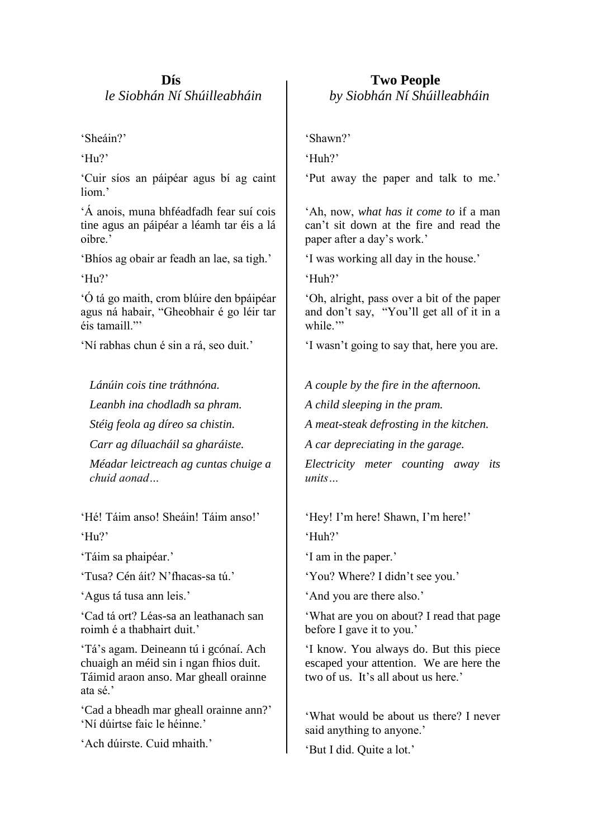## **Dís**  *le Siobhán Ní Shúilleabháin*

'Sheáin?'

'Hu?'

'Cuir síos an páipéar agus bí ag caint liom<sup>3</sup>

'Á anois, muna bhféadfadh fear suí cois tine agus an páipéar a léamh tar éis a lá oibre.'

'Bhíos ag obair ar feadh an lae, sa tigh.'

'Hu?'

'Ó tá go maith, crom blúire den bpáipéar agus ná habair, "Gheobhair é go léir tar éis tamaill<sup>"</sup>

'Ní rabhas chun é sin a rá, seo duit.'

*Lánúin cois tine tráthnóna.*

*Leanbh ina chodladh sa phram.*

*Stéig feola ag díreo sa chistin.*

*Carr ag díluacháil sa gharáiste.*

*Méadar leictreach ag cuntas chuige a chuid aonad…*

'Hé! Táim anso! Sheáin! Táim anso!' 'Hu?'

'Táim sa phaipéar.'

'Tusa? Cén áit? N'fhacas-sa tú.'

'Agus tá tusa ann leis.'

'Cad tá ort? Léas-sa an leathanach san roimh é a thabhairt duit.'

'Tá's agam. Deineann tú i gcónaí. Ach chuaigh an méid sin i ngan fhios duit. Táimid araon anso. Mar gheall orainne ata sé.'

'Cad a bheadh mar gheall orainne ann?' 'Ní dúirtse faic le héinne.'

'Ach dúirste. Cuid mhaith.'

 **Two People**  *by Siobhán Ní Shúilleabháin*

'Shawn?'

'Huh?'

'Put away the paper and talk to me.'

'Ah, now, *what has it come to* if a man can't sit down at the fire and read the paper after a day's work.'

'I was working all day in the house.'

'Huh?'

'Oh, alright, pass over a bit of the paper and don't say, "You'll get all of it in a while."

'I wasn't going to say that, here you are.

*A couple by the fire in the afternoon.*

*A child sleeping in the pram.*

*A meat-steak defrosting in the kitchen.*

*A car depreciating in the garage.*

*Electricity meter counting away its units…*

'Hey! I'm here! Shawn, I'm here!' 'Huh?'

'I am in the paper.'

'You? Where? I didn't see you.'

'And you are there also.'

'What are you on about? I read that page before I gave it to you.'

'I know. You always do. But this piece escaped your attention. We are here the two of us. It's all about us here.'

'What would be about us there? I never said anything to anyone.'

'But I did. Quite a lot.'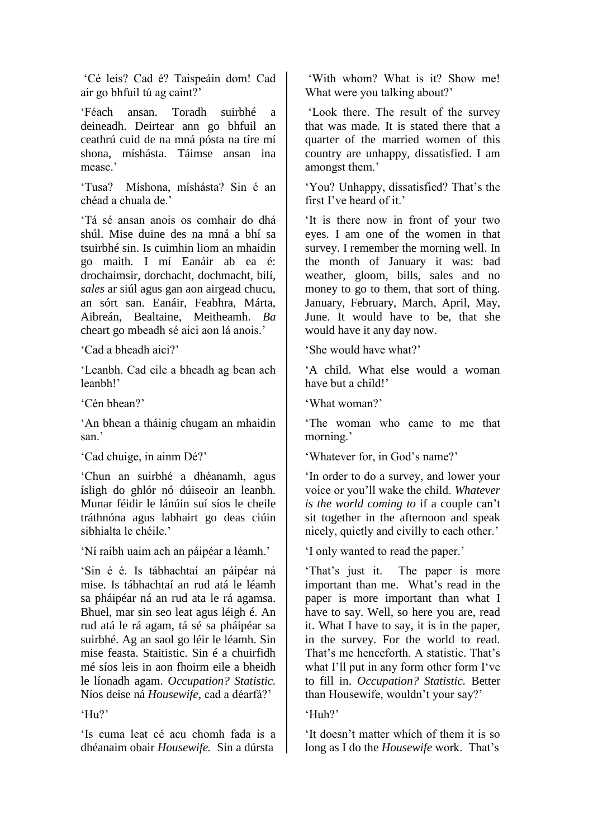'Cé leis? Cad é? Taispeáin dom! Cad air go bhfuil tú ag caint?'

'Féach ansan. Toradh suirbhé a deineadh. Deirtear ann go bhfuil an ceathrú cuid de na mná pósta na tíre mí shona, míshásta. Táimse ansan ina measc.'

'Tusa? Míshona, míshásta? Sin é an chéad a chuala de.'

'Tá sé ansan anois os comhair do dhá shúl. Mise duine des na mná a bhí sa tsuirbhé sin. Is cuimhin liom an mhaidin go maith. I mí Eanáir ab ea é: drochaimsir, dorchacht, dochmacht, bilí, *sales* ar siúl agus gan aon airgead chucu, an sórt san. Eanáir, Feabhra, Márta, Aibreán, Bealtaine, Meitheamh. *Ba* cheart go mbeadh sé aici aon lá anois.'

'Cad a bheadh aici?'

'Leanbh. Cad eile a bheadh ag bean ach leanbh!'

'Cén bhean?'

'An bhean a tháinig chugam an mhaidin san<sup>?</sup>

'Cad chuige, in ainm Dé?'

'Chun an suirbhé a dhéanamh, agus ísligh do ghlór nó dúiseoir an leanbh. Munar féidir le lánúin suí síos le cheile tráthnóna agus labhairt go deas ciúin sibhialta le chéile.'

'Ní raibh uaim ach an páipéar a léamh.'

'Sin é é. Is tábhachtaí an páipéar ná mise. Is tábhachtaí an rud atá le léamh sa pháipéar ná an rud ata le rá agamsa. Bhuel, mar sin seo leat agus léigh é. An rud atá le rá agam, tá sé sa pháipéar sa suirbhé. Ag an saol go léir le léamh. Sin mise feasta. Staitistic. Sin é a chuirfidh mé síos leis in aon fhoirm eile a bheidh le líonadh agam. *Occupation? Statistic.*  Níos deise ná *Housewife,* cad a déarfá?'

'Hu?'

'Is cuma leat cé acu chomh fada is a dhéanaim obair *Housewife.* Sin a dúrsta

'With whom? What is it? Show me! What were you talking about?'

'Look there. The result of the survey that was made. It is stated there that a quarter of the married women of this country are unhappy, dissatisfied. I am amongst them.'

'You? Unhappy, dissatisfied? That's the first I've heard of it.'

'It is there now in front of your two eyes. I am one of the women in that survey. I remember the morning well. In the month of January it was: bad weather, gloom, bills, sales and no money to go to them, that sort of thing. January, February, March, April, May, June. It would have to be, that she would have it any day now.

'She would have what?'

'A child. What else would a woman have but a child!'

'What woman?'

'The woman who came to me that morning.'

'Whatever for, in God's name?'

'In order to do a survey, and lower your voice or you'll wake the child. *Whatever is the world coming to* if a couple can't sit together in the afternoon and speak nicely, quietly and civilly to each other.'

'I only wanted to read the paper.'

'That's just it. The paper is more important than me. What's read in the paper is more important than what I have to say. Well, so here you are, read it. What I have to say, it is in the paper, in the survey. For the world to read. That's me henceforth. A statistic. That's what I'll put in any form other form I've to fill in. *Occupation? Statistic.* Better than Housewife, wouldn't your say?'

'Huh?'

'It doesn't matter which of them it is so long as I do the *Housewife* work. That's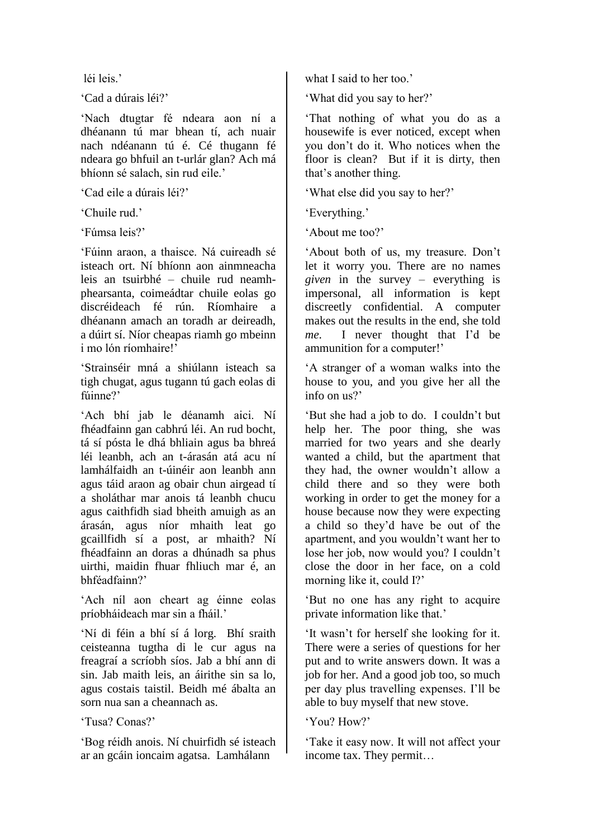léi leis.'

'Cad a dúrais léi?'

'Nach dtugtar fé ndeara aon ní a dhéanann tú mar bhean tí, ach nuair nach ndéanann tú é. Cé thugann fé ndeara go bhfuil an t-urlár glan? Ach má bhíonn sé salach, sin rud eile.'

'Cad eile a dúrais léi?'

'Chuile rud.'

'Fúmsa leis?'

'Fúinn araon, a thaisce. Ná cuireadh sé isteach ort. Ní bhíonn aon ainmneacha leis an tsuirbhé – chuile rud neamhphearsanta, coimeádtar chuile eolas go discréideach fé rún. Ríomhaire a dhéanann amach an toradh ar deireadh, a dúirt sí. Níor cheapas riamh go mbeinn i mo lón ríomhaire!'

'Strainséir mná a shiúlann isteach sa tigh chugat, agus tugann tú gach eolas di fúinne?'

'Ach bhí jab le déanamh aici. Ní fhéadfainn gan cabhrú léi. An rud bocht, tá sí pósta le dhá bhliain agus ba bhreá léi leanbh, ach an t-árasán atá acu ní lamhálfaidh an t-úinéir aon leanbh ann agus táid araon ag obair chun airgead tí a sholáthar mar anois tá leanbh chucu agus caithfidh siad bheith amuigh as an árasán, agus níor mhaith leat go gcaillfidh sí a post, ar mhaith? Ní fhéadfainn an doras a dhúnadh sa phus uirthi, maidin fhuar fhliuch mar é, an bhféadfainn?'

'Ach níl aon cheart ag éinne eolas príobháideach mar sin a fháil.'

'Ní di féin a bhí sí á lorg. Bhí sraith ceisteanna tugtha di le cur agus na freagraí a scríobh síos. Jab a bhí ann di sin. Jab maith leis, an áirithe sin sa lo, agus costais taistil. Beidh mé ábalta an sorn nua san a cheannach as.

'Tusa? Conas?'

'Bog réidh anois. Ní chuirfidh sé isteach ar an gcáin ioncaim agatsa. Lamhálann

what I said to her too.'

'What did you say to her?'

'That nothing of what you do as a housewife is ever noticed, except when you don't do it. Who notices when the floor is clean? But if it is dirty, then that's another thing.

'What else did you say to her?'

'Everything.'

'About me too?'

'About both of us, my treasure. Don't let it worry you. There are no names *given* in the survey – everything is impersonal, all information is kept discreetly confidential. A computer makes out the results in the end, she told *me*. I never thought that I'd be ammunition for a computer!'

'A stranger of a woman walks into the house to you, and you give her all the info on us?'

'But she had a job to do. I couldn't but help her. The poor thing, she was married for two years and she dearly wanted a child, but the apartment that they had, the owner wouldn't allow a child there and so they were both working in order to get the money for a house because now they were expecting a child so they'd have be out of the apartment, and you wouldn't want her to lose her job, now would you? I couldn't close the door in her face, on a cold morning like it, could I?'

'But no one has any right to acquire private information like that.'

'It wasn't for herself she looking for it. There were a series of questions for her put and to write answers down. It was a job for her. And a good job too, so much per day plus travelling expenses. I'll be able to buy myself that new stove.

'You? How?'

'Take it easy now. It will not affect your income tax. They permit…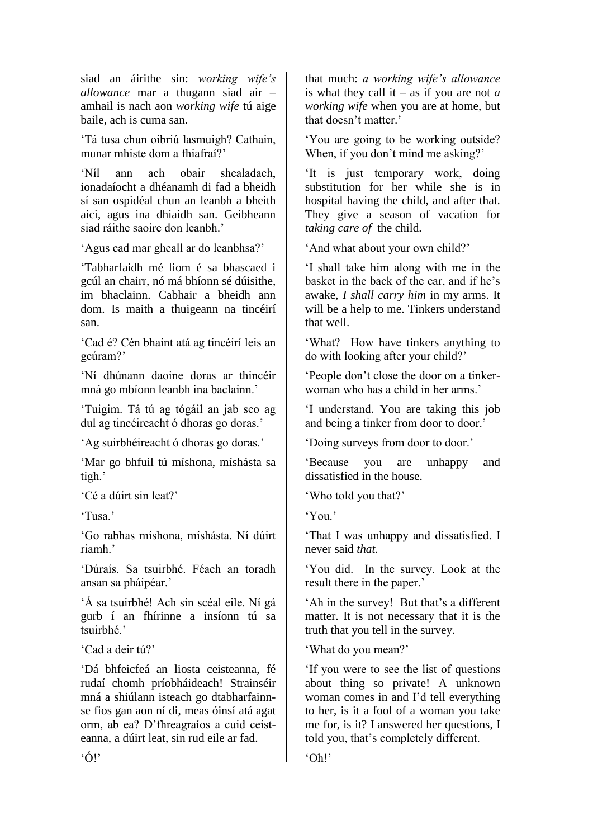siad an áirithe sin: *working wife's allowance* mar a thugann siad air – amhail is nach aon *working wife* tú aige baile, ach is cuma san.

'Tá tusa chun oibriú lasmuigh? Cathain, munar mhiste dom a fhiafraí?'

'Níl ann ach obair shealadach, ionadaíocht a dhéanamh di fad a bheidh sí san ospidéal chun an leanbh a bheith aici, agus ina dhiaidh san. Geibheann siad ráithe saoire don leanbh.'

'Agus cad mar gheall ar do leanbhsa?'

'Tabharfaidh mé liom é sa bhascaed i gcúl an chairr, nó má bhíonn sé dúisithe, im bhaclainn. Cabhair a bheidh ann dom. Is maith a thuigeann na tincéirí san.

'Cad é? Cén bhaint atá ag tincéirí leis an gcúram?'

'Ní dhúnann daoine doras ar thincéir mná go mbíonn leanbh ina baclainn.'

'Tuigim. Tá tú ag tógáil an jab seo ag dul ag tincéireacht ó dhoras go doras.'

'Ag suirbhéireacht ó dhoras go doras.'

'Mar go bhfuil tú míshona, míshásta sa tigh.'

'Cé a dúirt sin leat?'

'Tusa.'

'Go rabhas míshona, míshásta. Ní dúirt riamh.'

'Dúraís. Sa tsuirbhé. Féach an toradh ansan sa pháipéar.'

'Á sa tsuirbhé! Ach sin scéal eile. Ní gá gurb í an fhírinne a insíonn tú sa tsuirbhé.'

'Cad a deir tú?'

'Dá bhfeicfeá an liosta ceisteanna, fé rudaí chomh príobháideach! Strainséir mná a shiúlann isteach go dtabharfainnse fios gan aon ní di, meas óinsí atá agat orm, ab ea? D'fhreagraíos a cuid ceisteanna, a dúirt leat, sin rud eile ar fad.

that much: *a working wife's allowance* is what they call it – as if you are not *a working wife* when you are at home, but that doesn't matter.'

'You are going to be working outside? When, if you don't mind me asking?'

'It is just temporary work, doing substitution for her while she is in hospital having the child, and after that. They give a season of vacation for *taking care of* the child.

'And what about your own child?'

'I shall take him along with me in the basket in the back of the car, and if he's awake, *I shall carry him* in my arms. It will be a help to me. Tinkers understand that well.

'What? How have tinkers anything to do with looking after your child?'

'People don't close the door on a tinkerwoman who has a child in her arms.'

'I understand. You are taking this job and being a tinker from door to door.'

'Doing surveys from door to door.'

'Because you are unhappy and dissatisfied in the house.

'Who told you that?'

'You.'

'Oh!'

'That I was unhappy and dissatisfied. I never said *that.*

'You did. In the survey. Look at the result there in the paper.'

'Ah in the survey! But that's a different matter. It is not necessary that it is the truth that you tell in the survey.

'What do you mean?'

'If you were to see the list of questions about thing so private! A unknown woman comes in and I'd tell everything to her, is it a fool of a woman you take me for, is it? I answered her questions, I told you, that's completely different.

 $\dot{O}$ !'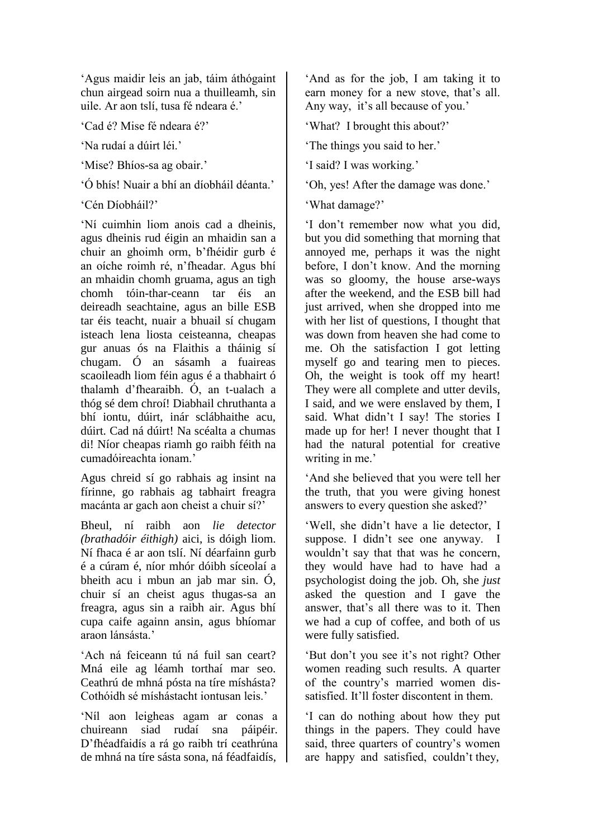'Agus maidir leis an jab, táim áthógaint chun airgead soirn nua a thuilleamh, sin uile. Ar aon tslí, tusa fé ndeara é.

'Cad é? Mise fé ndeara é?'

'Na rudaí a dúirt léi.'

'Mise? Bhíos-sa ag obair.'

'Ó bhís! Nuair a bhí an díobháil déanta.'

'Cén Díobháil?'

'Ní cuimhin liom anois cad a dheinis, agus dheinis rud éigin an mhaidin san a chuir an ghoimh orm, b'fhéidir gurb é an oíche roimh ré, n'fheadar. Agus bhí an mhaidin chomh gruama, agus an tigh chomh tóin-thar-ceann tar éis an deireadh seachtaine, agus an bille ESB tar éis teacht, nuair a bhuail sí chugam isteach lena liosta ceisteanna, cheapas gur anuas ós na Flaithis a tháinig sí chugam. Ó an sásamh a fuaireas scaoileadh liom féin agus é a thabhairt ó thalamh d'fhearaibh. Ó, an t-ualach a thóg sé dem chroí! Diabhail chruthanta a bhí iontu, dúirt, inár sclábhaithe acu, dúirt. Cad ná dúirt! Na scéalta a chumas di! Níor cheapas riamh go raibh féith na cumadóireachta ionam.'

Agus chreid sí go rabhais ag insint na fírinne, go rabhais ag tabhairt freagra macánta ar gach aon cheist a chuir sí?'

Bheul, ní raibh aon *lie detector (brathadóir éithigh)* aici, is dóigh liom. Ní fhaca é ar aon tslí. Ní déarfainn gurb é a cúram é, níor mhór dóibh síceolaí a bheith acu i mbun an jab mar sin. Ó, chuir sí an cheist agus thugas-sa an freagra, agus sin a raibh air. Agus bhí cupa caife againn ansin, agus bhíomar araon lánsásta.'

'Ach ná feiceann tú ná fuil san ceart? Mná eile ag léamh torthaí mar seo. Ceathrú de mhná pósta na tíre míshásta? Cothóidh sé míshástacht iontusan leis.'

'Níl aon leigheas agam ar conas a chuireann siad rudaí sna páipéir. D'fhéadfaidís a rá go raibh trí ceathrúna de mhná na tíre sásta sona, ná féadfaidís,

'And as for the job, I am taking it to earn money for a new stove, that's all. Any way, it's all because of you.'

'What? I brought this about?'

'The things you said to her.'

'I said? I was working.'

'Oh, yes! After the damage was done.'

'What damage?'

'I don't remember now what you did, but you did something that morning that annoyed me, perhaps it was the night before, I don't know. And the morning was so gloomy, the house arse-ways after the weekend, and the ESB bill had just arrived, when she dropped into me with her list of questions, I thought that was down from heaven she had come to me. Oh the satisfaction I got letting myself go and tearing men to pieces. Oh, the weight is took off my heart! They were all complete and utter devils, I said, and we were enslaved by them, I said. What didn't I say! The stories I made up for her! I never thought that I had the natural potential for creative writing in me.'

'And she believed that you were tell her the truth, that you were giving honest answers to every question she asked?'

'Well, she didn't have a lie detector, I suppose. I didn't see one anyway. I wouldn't say that that was he concern, they would have had to have had a psychologist doing the job. Oh, she *just* asked the question and I gave the answer, that's all there was to it. Then we had a cup of coffee, and both of us were fully satisfied.

'But don't you see it's not right? Other women reading such results. A quarter of the country's married women dissatisfied. It'll foster discontent in them.

'I can do nothing about how they put things in the papers. They could have said, three quarters of country's women are happy and satisfied, couldn't they,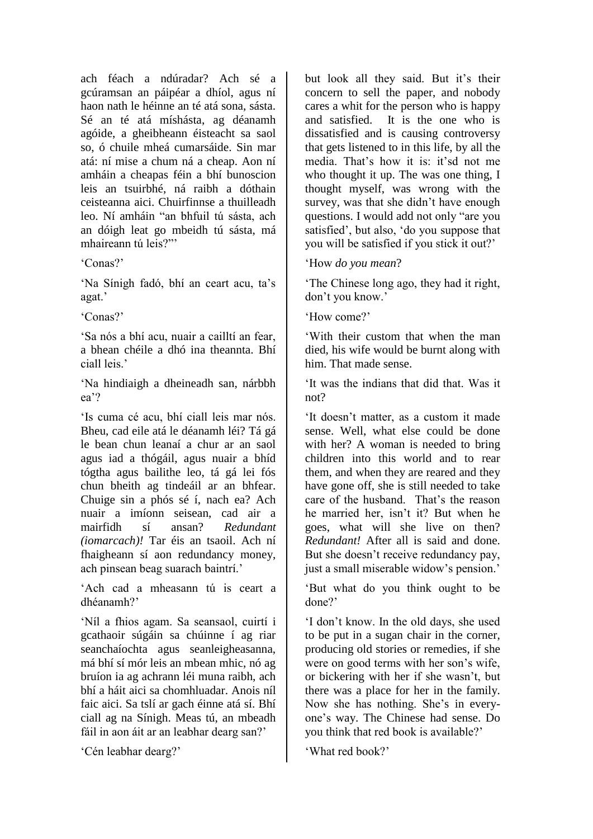ach féach a ndúradar? Ach sé a gcúramsan an páipéar a dhíol, agus ní haon nath le héinne an té atá sona, sásta. Sé an té atá míshásta, ag déanamh agóide, a gheibheann éisteacht sa saol so, ó chuile mheá cumarsáide. Sin mar atá: ní mise a chum ná a cheap. Aon ní amháin a cheapas féin a bhí bunoscion leis an tsuirbhé, ná raibh a dóthain ceisteanna aici. Chuirfinnse a thuilleadh leo. Ní amháin "an bhfuil tú sásta, ach an dóigh leat go mbeidh tú sásta, má mhaireann tú leis?"'

'Conas?'

'Na Sínigh fadó, bhí an ceart acu, ta's agat.'

'Conas?'

'Sa nós a bhí acu, nuair a cailltí an fear, a bhean chéile a dhó ina theannta. Bhí ciall leis.'

'Na hindiaigh a dheineadh san, nárbbh ea'?

'Is cuma cé acu, bhí ciall leis mar nós. Bheu, cad eile atá le déanamh léi? Tá gá le bean chun leanaí a chur ar an saol agus iad a thógáil, agus nuair a bhíd tógtha agus bailithe leo, tá gá lei fós chun bheith ag tindeáil ar an bhfear. Chuige sin a phós sé í, nach ea? Ach nuair a imíonn seisean, cad air a mairfidh sí ansan? *Redundant (iomarcach)!* Tar éis an tsaoil. Ach ní fhaigheann sí aon redundancy money, ach pinsean beag suarach baintrí.'

'Ach cad a mheasann tú is ceart a dhéanamh?'

'Níl a fhios agam. Sa seansaol, cuirtí i gcathaoir súgáin sa chúinne í ag riar seanchaíochta agus seanleigheasanna, má bhí sí mór leis an mbean mhic, nó ag bruíon ia ag achrann léi muna raibh, ach bhí a háit aici sa chomhluadar. Anois níl faic aici. Sa tslí ar gach éinne atá sí. Bhí ciall ag na Sínigh. Meas tú, an mbeadh fáil in aon áit ar an leabhar dearg san?'

'Cén leabhar dearg?'

but look all they said. But it's their concern to sell the paper, and nobody cares a whit for the person who is happy and satisfied. It is the one who is dissatisfied and is causing controversy that gets listened to in this life, by all the media. That's how it is: it'sd not me who thought it up. The was one thing, I thought myself, was wrong with the survey, was that she didn't have enough questions. I would add not only "are you satisfied', but also, 'do you suppose that you will be satisfied if you stick it out?'

## 'How *do you mean*?

'The Chinese long ago, they had it right, don't you know.'

'How come?'

'With their custom that when the man died, his wife would be burnt along with him. That made sense.

'It was the indians that did that. Was it not?

'It doesn't matter, as a custom it made sense. Well, what else could be done with her? A woman is needed to bring children into this world and to rear them, and when they are reared and they have gone off, she is still needed to take care of the husband. That's the reason he married her, isn't it? But when he goes, what will she live on then? *Redundant!* After all is said and done. But she doesn't receive redundancy pay, just a small miserable widow's pension.'

'But what do you think ought to be done?'

'I don't know. In the old days, she used to be put in a sugan chair in the corner, producing old stories or remedies, if she were on good terms with her son's wife, or bickering with her if she wasn't, but there was a place for her in the family. Now she has nothing. She's in everyone's way. The Chinese had sense. Do you think that red book is available?'

'What red book?'